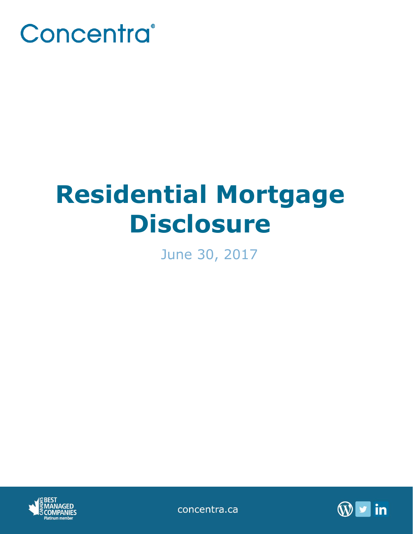

# **Residential Mortgage Disclosure**

June 30, 2017



concentra.ca

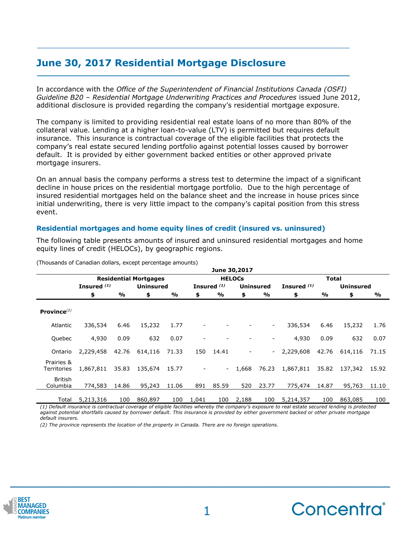## **June 30, 2017 Residential Mortgage Disclosure**

In accordance with the *Office of the Superintendent of Financial Institutions Canada (OSFI) Guideline B20 – Residential Mortgage Underwriting Practices and Procedures* issued June 2012, additional disclosure is provided regarding the company's residential mortgage exposure.

The company is limited to providing residential real estate loans of no more than 80% of the collateral value. Lending at a higher loan-to-value (LTV) is permitted but requires default insurance. This insurance is contractual coverage of the eligible facilities that protects the company's real estate secured lending portfolio against potential losses caused by borrower default. It is provided by either government backed entities or other approved private mortgage insurers.

On an annual basis the company performs a stress test to determine the impact of a significant decline in house prices on the residential mortgage portfolio. Due to the high percentage of insured residential mortgages held on the balance sheet and the increase in house prices since initial underwriting, there is very little impact to the company's capital position from this stress event.

### **Residential mortgages and home equity lines of credit (insured vs. uninsured)**

The following table presents amounts of insured and uninsured residential mortgages and home equity lines of credit (HELOCs), by geographic regions.

|                           |                              |       |                  |       |               |                        | June 30,2017 |                          |               |       |                  |       |
|---------------------------|------------------------------|-------|------------------|-------|---------------|------------------------|--------------|--------------------------|---------------|-------|------------------|-------|
|                           | <b>Residential Mortgages</b> |       |                  |       | <b>HELOCS</b> |                        |              |                          | Total         |       |                  |       |
|                           | Insured <sup>(1)</sup>       |       | <b>Uninsured</b> |       |               | Insured <sup>(1)</sup> |              | Uninsured                | Insured $(1)$ |       | <b>Uninsured</b> |       |
|                           | \$                           | $\%$  | \$               | %     | \$            | %                      | \$           | %                        | \$            | %     | \$               | %     |
| Province $^{(2)}$         |                              |       |                  |       |               |                        |              |                          |               |       |                  |       |
| Atlantic                  | 336,534                      | 6.46  | 15,232           | 1.77  |               |                        |              | ۰.                       | 336,534       | 6.46  | 15,232           | 1.76  |
| Quebec                    | 4,930                        | 0.09  | 632              | 0.07  |               |                        |              | $\overline{\phantom{a}}$ | 4,930         | 0.09  | 632              | 0.07  |
| Ontario                   | 2,229,458                    | 42.76 | 614,116          | 71.33 | 150           | 14.41                  |              |                          | $-2,229,608$  | 42.76 | 614,116          | 71.15 |
| Prairies &<br>Territories | 1,867,811                    | 35.83 | 135,674          | 15.77 |               | $\sim$                 | 1,668        | 76.23                    | 1,867,811     | 35.82 | 137,342 15.92    |       |
| British<br>Columbia       | 774,583                      | 14.86 | 95,243           | 11.06 | 891           | 85.59                  | 520          | 23.77                    | 775,474       | 14.87 | 95,763           | 11.10 |
| Total                     | 5,213,316                    | 100   | 860,897          | 100   | 1,041         | 100                    | 2,188        | 100                      | 5,214,357     | 100   | 863,085          | 100   |

(Thousands of Canadian dollars, except percentage amounts)

*(1) Default insurance is contractual coverage of eligible facilities whereby the company's exposure to real estate secured lending is protected against potential shortfalls caused by borrower default. This insurance is provided by either government backed or other private mortgage default insurers.*

*(2) The province represents the location of the property in Canada. There are no foreign operations.*



**\_\_\_\_\_\_\_\_\_\_\_\_\_\_\_\_\_\_\_\_\_\_\_\_\_\_\_\_\_\_\_\_\_\_\_\_\_\_\_\_\_\_\_\_**